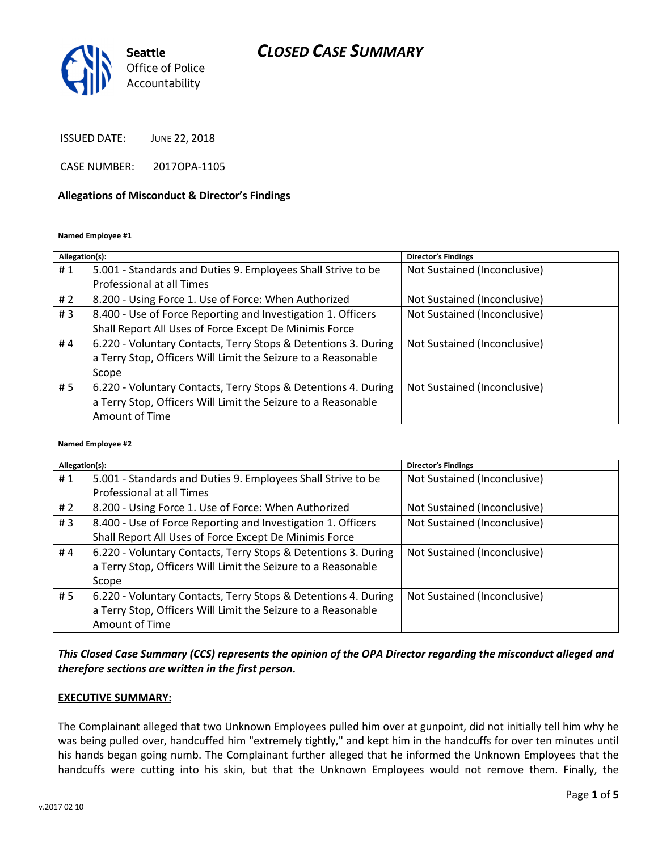### CLOSED CASE SUMMARY



ISSUED DATE: JUNE 22, 2018

CASE NUMBER: 2017OPA-1105

#### Allegations of Misconduct & Director's Findings

Named Employee #1

| Allegation(s): |                                                                | <b>Director's Findings</b>   |
|----------------|----------------------------------------------------------------|------------------------------|
| #1             | 5.001 - Standards and Duties 9. Employees Shall Strive to be   | Not Sustained (Inconclusive) |
|                | Professional at all Times                                      |                              |
| #2             | 8.200 - Using Force 1. Use of Force: When Authorized           | Not Sustained (Inconclusive) |
| #3             | 8.400 - Use of Force Reporting and Investigation 1. Officers   | Not Sustained (Inconclusive) |
|                | Shall Report All Uses of Force Except De Minimis Force         |                              |
| #4             | 6.220 - Voluntary Contacts, Terry Stops & Detentions 3. During | Not Sustained (Inconclusive) |
|                | a Terry Stop, Officers Will Limit the Seizure to a Reasonable  |                              |
|                | Scope                                                          |                              |
| # 5            | 6.220 - Voluntary Contacts, Terry Stops & Detentions 4. During | Not Sustained (Inconclusive) |
|                | a Terry Stop, Officers Will Limit the Seizure to a Reasonable  |                              |
|                | Amount of Time                                                 |                              |

#### Named Employee #2

| Allegation(s): |                                                                | <b>Director's Findings</b>   |
|----------------|----------------------------------------------------------------|------------------------------|
| #1             | 5.001 - Standards and Duties 9. Employees Shall Strive to be   | Not Sustained (Inconclusive) |
|                | Professional at all Times                                      |                              |
| # $2$          | 8.200 - Using Force 1. Use of Force: When Authorized           | Not Sustained (Inconclusive) |
| #3             | 8.400 - Use of Force Reporting and Investigation 1. Officers   | Not Sustained (Inconclusive) |
|                | Shall Report All Uses of Force Except De Minimis Force         |                              |
| #4             | 6.220 - Voluntary Contacts, Terry Stops & Detentions 3. During | Not Sustained (Inconclusive) |
|                | a Terry Stop, Officers Will Limit the Seizure to a Reasonable  |                              |
|                | Scope                                                          |                              |
| #5             | 6.220 - Voluntary Contacts, Terry Stops & Detentions 4. During | Not Sustained (Inconclusive) |
|                | a Terry Stop, Officers Will Limit the Seizure to a Reasonable  |                              |
|                | Amount of Time                                                 |                              |

#### This Closed Case Summary (CCS) represents the opinion of the OPA Director regarding the misconduct alleged and therefore sections are written in the first person.

#### EXECUTIVE SUMMARY:

The Complainant alleged that two Unknown Employees pulled him over at gunpoint, did not initially tell him why he was being pulled over, handcuffed him "extremely tightly," and kept him in the handcuffs for over ten minutes until his hands began going numb. The Complainant further alleged that he informed the Unknown Employees that the handcuffs were cutting into his skin, but that the Unknown Employees would not remove them. Finally, the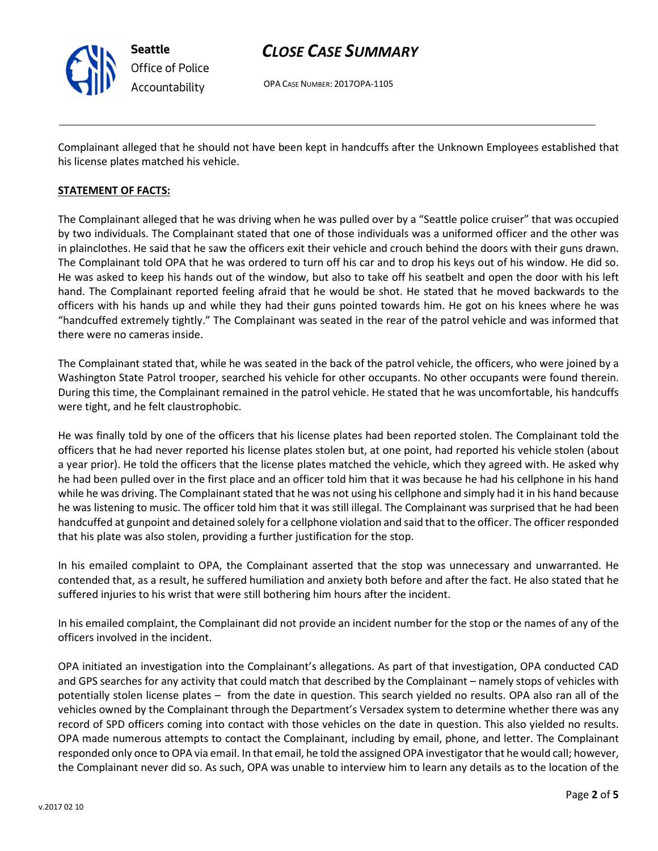

### CLOSE CASE SUMMARY

OPA CASE NUMBER: 2017OPA-1105

Complainant alleged that he should not have been kept in handcuffs after the Unknown Employees established that his license plates matched his vehicle.

#### STATEMENT OF FACTS:

The Complainant alleged that he was driving when he was pulled over by a "Seattle police cruiser" that was occupied by two individuals. The Complainant stated that one of those individuals was a uniformed officer and the other was in plainclothes. He said that he saw the officers exit their vehicle and crouch behind the doors with their guns drawn. The Complainant told OPA that he was ordered to turn off his car and to drop his keys out of his window. He did so. He was asked to keep his hands out of the window, but also to take off his seatbelt and open the door with his left hand. The Complainant reported feeling afraid that he would be shot. He stated that he moved backwards to the officers with his hands up and while they had their guns pointed towards him. He got on his knees where he was "handcuffed extremely tightly." The Complainant was seated in the rear of the patrol vehicle and was informed that there were no cameras inside.

The Complainant stated that, while he was seated in the back of the patrol vehicle, the officers, who were joined by a Washington State Patrol trooper, searched his vehicle for other occupants. No other occupants were found therein. During this time, the Complainant remained in the patrol vehicle. He stated that he was uncomfortable, his handcuffs were tight, and he felt claustrophobic.

He was finally told by one of the officers that his license plates had been reported stolen. The Complainant told the officers that he had never reported his license plates stolen but, at one point, had reported his vehicle stolen (about a year prior). He told the officers that the license plates matched the vehicle, which they agreed with. He asked why he had been pulled over in the first place and an officer told him that it was because he had his cellphone in his hand while he was driving. The Complainant stated that he was not using his cellphone and simply had it in his hand because he was listening to music. The officer told him that it was still illegal. The Complainant was surprised that he had been handcuffed at gunpoint and detained solely for a cellphone violation and said that to the officer. The officer responded that his plate was also stolen, providing a further justification for the stop.

In his emailed complaint to OPA, the Complainant asserted that the stop was unnecessary and unwarranted. He contended that, as a result, he suffered humiliation and anxiety both before and after the fact. He also stated that he suffered injuries to his wrist that were still bothering him hours after the incident.

In his emailed complaint, the Complainant did not provide an incident number for the stop or the names of any of the officers involved in the incident.

OPA initiated an investigation into the Complainant's allegations. As part of that investigation, OPA conducted CAD and GPS searches for any activity that could match that described by the Complainant – namely stops of vehicles with potentially stolen license plates – from the date in question. This search yielded no results. OPA also ran all of the vehicles owned by the Complainant through the Department's Versadex system to determine whether there was any record of SPD officers coming into contact with those vehicles on the date in question. This also yielded no results. OPA made numerous attempts to contact the Complainant, including by email, phone, and letter. The Complainant responded only once to OPA via email. In that email, he told the assigned OPA investigator that he would call; however, the Complainant never did so. As such, OPA was unable to interview him to learn any details as to the location of the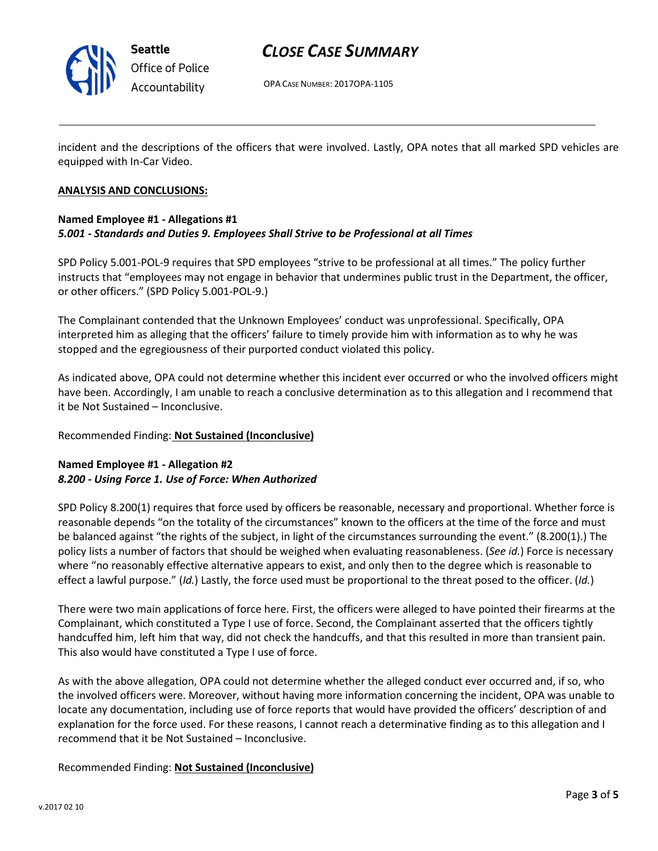

Seattle Office of Police Accountability

## CLOSE CASE SUMMARY

OPA CASE NUMBER: 2017OPA-1105

incident and the descriptions of the officers that were involved. Lastly, OPA notes that all marked SPD vehicles are equipped with In-Car Video.

#### ANALYSIS AND CONCLUSIONS:

#### Named Employee #1 - Allegations #1 5.001 - Standards and Duties 9. Employees Shall Strive to be Professional at all Times

SPD Policy 5.001-POL-9 requires that SPD employees "strive to be professional at all times." The policy further instructs that "employees may not engage in behavior that undermines public trust in the Department, the officer, or other officers." (SPD Policy 5.001-POL-9.)

The Complainant contended that the Unknown Employees' conduct was unprofessional. Specifically, OPA interpreted him as alleging that the officers' failure to timely provide him with information as to why he was stopped and the egregiousness of their purported conduct violated this policy.

As indicated above, OPA could not determine whether this incident ever occurred or who the involved officers might have been. Accordingly, I am unable to reach a conclusive determination as to this allegation and I recommend that it be Not Sustained – Inconclusive.

#### Recommended Finding: Not Sustained (Inconclusive)

#### Named Employee #1 - Allegation #2 8.200 - Using Force 1. Use of Force: When Authorized

SPD Policy 8.200(1) requires that force used by officers be reasonable, necessary and proportional. Whether force is reasonable depends "on the totality of the circumstances" known to the officers at the time of the force and must be balanced against "the rights of the subject, in light of the circumstances surrounding the event." (8.200(1).) The policy lists a number of factors that should be weighed when evaluating reasonableness. (See id.) Force is necessary where "no reasonably effective alternative appears to exist, and only then to the degree which is reasonable to effect a lawful purpose." (Id.) Lastly, the force used must be proportional to the threat posed to the officer. (Id.)

There were two main applications of force here. First, the officers were alleged to have pointed their firearms at the Complainant, which constituted a Type I use of force. Second, the Complainant asserted that the officers tightly handcuffed him, left him that way, did not check the handcuffs, and that this resulted in more than transient pain. This also would have constituted a Type I use of force.

As with the above allegation, OPA could not determine whether the alleged conduct ever occurred and, if so, who the involved officers were. Moreover, without having more information concerning the incident, OPA was unable to locate any documentation, including use of force reports that would have provided the officers' description of and explanation for the force used. For these reasons, I cannot reach a determinative finding as to this allegation and I recommend that it be Not Sustained – Inconclusive.

#### Recommended Finding: Not Sustained (Inconclusive)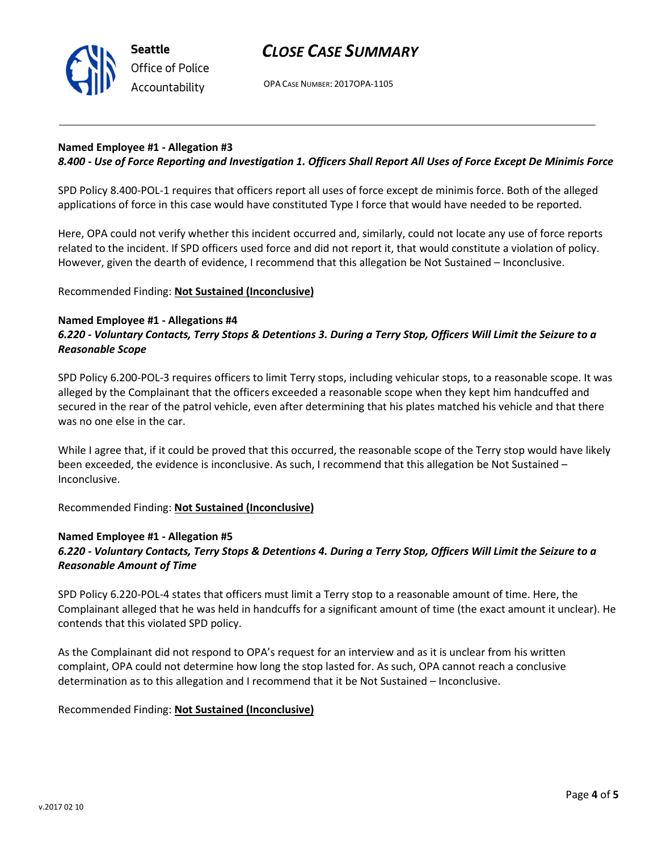

### CLOSE CASE SUMMARY

OPA CASE NUMBER: 2017OPA-1105

#### Named Employee #1 - Allegation #3

#### 8.400 - Use of Force Reporting and Investigation 1. Officers Shall Report All Uses of Force Except De Minimis Force

SPD Policy 8.400-POL-1 requires that officers report all uses of force except de minimis force. Both of the alleged applications of force in this case would have constituted Type I force that would have needed to be reported.

Here, OPA could not verify whether this incident occurred and, similarly, could not locate any use of force reports related to the incident. If SPD officers used force and did not report it, that would constitute a violation of policy. However, given the dearth of evidence, I recommend that this allegation be Not Sustained – Inconclusive.

#### Recommended Finding: Not Sustained (Inconclusive)

#### Named Employee #1 - Allegations #4 6.220 - Voluntary Contacts, Terry Stops & Detentions 3. During a Terry Stop, Officers Will Limit the Seizure to a Reasonable Scope

SPD Policy 6.200-POL-3 requires officers to limit Terry stops, including vehicular stops, to a reasonable scope. It was alleged by the Complainant that the officers exceeded a reasonable scope when they kept him handcuffed and secured in the rear of the patrol vehicle, even after determining that his plates matched his vehicle and that there was no one else in the car.

While I agree that, if it could be proved that this occurred, the reasonable scope of the Terry stop would have likely been exceeded, the evidence is inconclusive. As such, I recommend that this allegation be Not Sustained – Inconclusive.

Recommended Finding: Not Sustained (Inconclusive)

#### Named Employee #1 - Allegation #5

#### 6.220 - Voluntary Contacts, Terry Stops & Detentions 4. During a Terry Stop, Officers Will Limit the Seizure to a Reasonable Amount of Time

SPD Policy 6.220-POL-4 states that officers must limit a Terry stop to a reasonable amount of time. Here, the Complainant alleged that he was held in handcuffs for a significant amount of time (the exact amount it unclear). He contends that this violated SPD policy.

As the Complainant did not respond to OPA's request for an interview and as it is unclear from his written complaint, OPA could not determine how long the stop lasted for. As such, OPA cannot reach a conclusive determination as to this allegation and I recommend that it be Not Sustained – Inconclusive.

#### Recommended Finding: Not Sustained (Inconclusive)